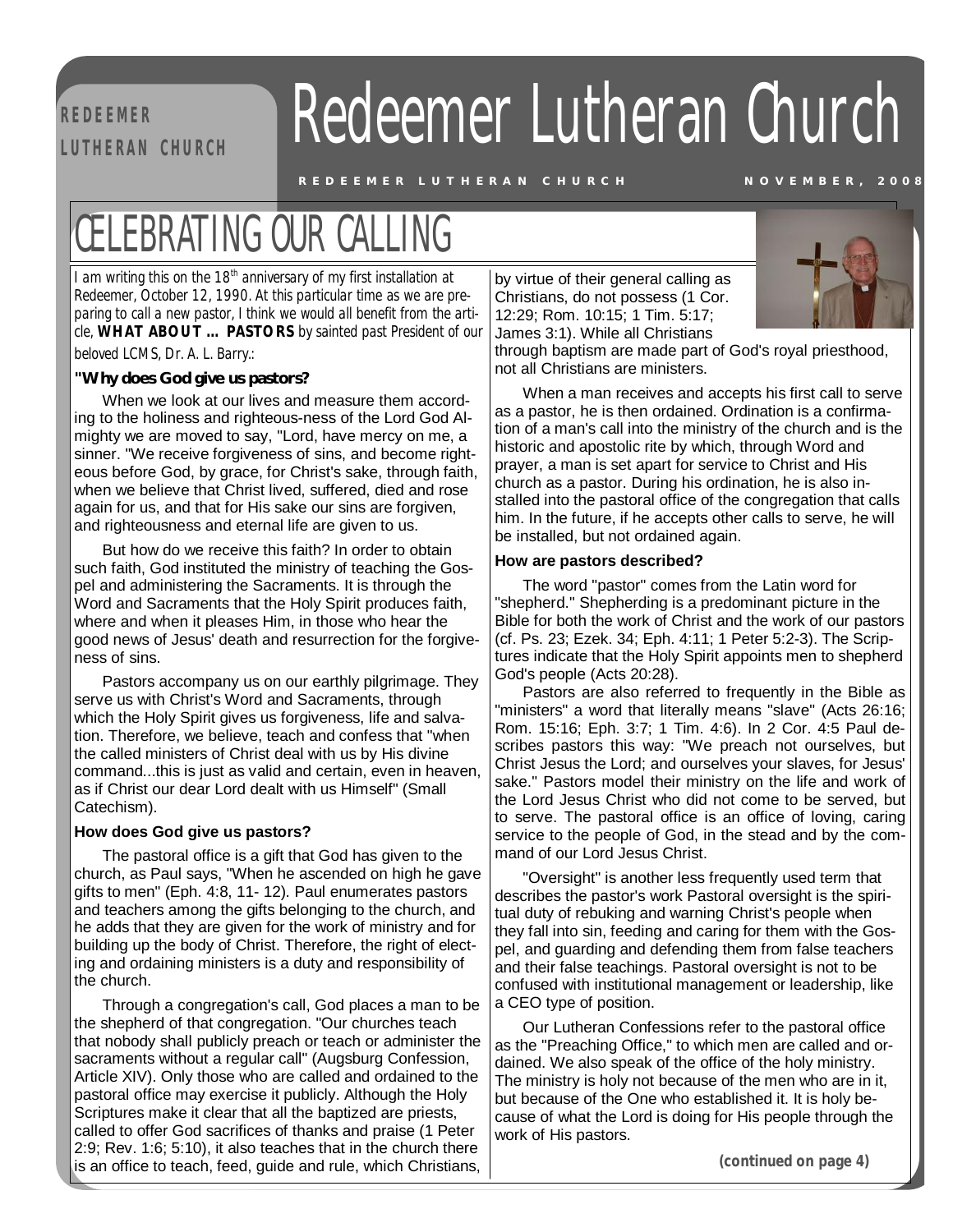**R E D EE M ER** 

# **REDEEMER Redeemer Lutheran Church**

REDEEMER LUTHERAN CHURCH NOVEMBER, 2008

### CELEBRATING OUR CALLING

*I am writing this on the 18th anniversary of my first installation at Redeemer, October 12, 1990. At this particular time as we are preparing to call a new pastor, I think we would all benefit from the article, WHAT ABOUT … PASTORS by sainted past President of our beloved LCMS, Dr. A. L. Barry.:* 

### **"Why does God give us pastors?**

When we look at our lives and measure them according to the holiness and righteous-ness of the Lord God Almighty we are moved to say, "Lord, have mercy on me, a sinner. "We receive forgiveness of sins, and become righteous before God, by grace, for Christ's sake, through faith, when we believe that Christ lived, suffered, died and rose again for us, and that for His sake our sins are forgiven, and righteousness and eternal life are given to us.

But how do we receive this faith? In order to obtain such faith, God instituted the ministry of teaching the Gospel and administering the Sacraments. It is through the Word and Sacraments that the Holy Spirit produces faith, where and when it pleases Him, in those who hear the good news of Jesus' death and resurrection for the forgiveness of sins.

Pastors accompany us on our earthly pilgrimage. They serve us with Christ's Word and Sacraments, through which the Holy Spirit gives us forgiveness, life and salvation. Therefore, we believe, teach and confess that "when the called ministers of Christ deal with us by His divine command...this is just as valid and certain, even in heaven, as if Christ our dear Lord dealt with us Himself" (Small Catechism).

#### **How does God give us pastors?**

The pastoral office is a gift that God has given to the church, as Paul says, "When he ascended on high he gave gifts to men" (Eph. 4:8, 11- 12). Paul enumerates pastors and teachers among the gifts belonging to the church, and he adds that they are given for the work of ministry and for building up the body of Christ. Therefore, the right of electing and ordaining ministers is a duty and responsibility of the church.

Through a congregation's call, God places a man to be the shepherd of that congregation. "Our churches teach that nobody shall publicly preach or teach or administer the sacraments without a regular call" (Augsburg Confession, Article XIV). Only those who are called and ordained to the pastoral office may exercise it publicly. Although the Holy Scriptures make it clear that all the baptized are priests, called to offer God sacrifices of thanks and praise (1 Peter 2:9; Rev. 1:6; 5:10), it also teaches that in the church there is an office to teach, feed, guide and rule, which Christians,

by virtue of their general calling as Christians, do not possess (1 Cor. 12:29; Rom. 10:15; 1 Tim. 5:17; James 3:1). While all Christians



through baptism are made part of God's royal priesthood, not all Christians are ministers.

When a man receives and accepts his first call to serve as a pastor, he is then ordained. Ordination is a confirmation of a man's call into the ministry of the church and is the historic and apostolic rite by which, through Word and prayer, a man is set apart for service to Christ and His church as a pastor. During his ordination, he is also installed into the pastoral office of the congregation that calls him. In the future, if he accepts other calls to serve, he will be installed, but not ordained again.

#### **How are pastors described?**

The word "pastor" comes from the Latin word for "shepherd." Shepherding is a predominant picture in the Bible for both the work of Christ and the work of our pastors (cf. Ps. 23; Ezek. 34; Eph. 4:11; 1 Peter 5:2-3). The Scriptures indicate that the Holy Spirit appoints men to shepherd God's people (Acts 20:28).

Pastors are also referred to frequently in the Bible as "ministers" a word that literally means "slave" (Acts 26:16; Rom. 15:16; Eph. 3:7; 1 Tim. 4:6). In 2 Cor. 4:5 Paul describes pastors this way: "We preach not ourselves, but Christ Jesus the Lord; and ourselves your slaves, for Jesus' sake." Pastors model their ministry on the life and work of the Lord Jesus Christ who did not come to be served, but to serve. The pastoral office is an office of loving, caring service to the people of God, in the stead and by the command of our Lord Jesus Christ.

"Oversight" is another less frequently used term that describes the pastor's work Pastoral oversight is the spiritual duty of rebuking and warning Christ's people when they fall into sin, feeding and caring for them with the Gospel, and guarding and defending them from false teachers and their false teachings. Pastoral oversight is not to be confused with institutional management or leadership, like a CEO type of position.

Our Lutheran Confessions refer to the pastoral office as the "Preaching Office," to which men are called and ordained. We also speak of the office of the holy ministry. The ministry is holy not because of the men who are in it, but because of the One who established it. It is holy because of what the Lord is doing for His people through the work of His pastors.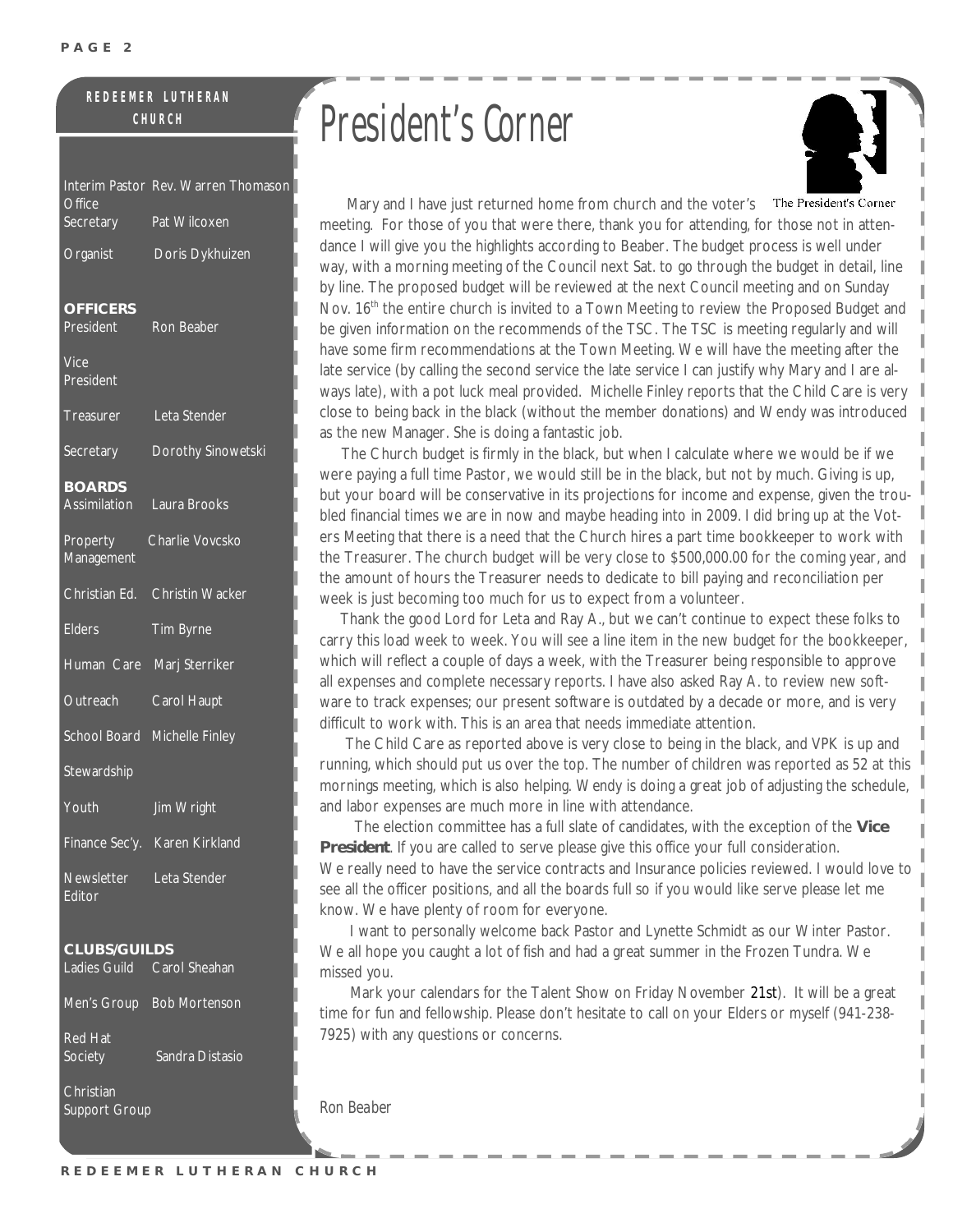#### **R E D E E M E R L U T H E R A N C H U R C H**

| Office                                            | Interim Pastor Rev. Warren Thomason |
|---------------------------------------------------|-------------------------------------|
| Secretary                                         | Pat Wilcoxen                        |
| Organist                                          | Doris Dykhuizen                     |
| <b>OFFICERS</b><br>President                      | Ron Beaber                          |
| Vice<br>President                                 |                                     |
| Treasurer                                         | Leta Stender                        |
| Secretary                                         | Dorothy Sinowetski                  |
| <b>BOARDS</b><br><b>Assimilation</b>              | Laura Brooks                        |
| Property<br>Management                            | Charlie Vovcsko                     |
| Christian Ed.                                     | <b>Christin Wacker</b>              |
| <b>Elders</b>                                     | Tim Byrne                           |
| Human Care                                        | Marj Sterriker                      |
| Outreach                                          | Carol Haupt                         |
| School Board                                      | Michelle Finley                     |
| Stewardship                                       |                                     |
| Youth                                             | Jim Wright                          |
|                                                   | Finance Sec'y. Karen Kirkland       |
| Newsletter<br>Editor                              | Leta Stender                        |
| <b>CLUBS/GUILDS</b><br>Ladies Guild Carol Sheahan |                                     |
|                                                   | Men's Group Bob Mortenson           |
| <b>Red Hat</b><br>Society                         | Sandra Distasio                     |

Christian Support Group

## President's Corner



Mary and I have just returned home from church and the voter's The President's Corner meeting. For those of you that were there, thank you for attending, for those not in attendance I will give you the highlights according to Beaber. The budget process is well under way, with a morning meeting of the Council next Sat. to go through the budget in detail, line by line. The proposed budget will be reviewed at the next Council meeting and on Sunday Nov. 16<sup>th</sup> the entire church is invited to a Town Meeting to review the Proposed Budget and be given information on the recommends of the TSC. The TSC is meeting regularly and will have some firm recommendations at the Town Meeting. We will have the meeting after the late service (by calling the second service the late service I can justify why Mary and I are always late), with a pot luck meal provided. Michelle Finley reports that the Child Care is very close to being back in the black (without the member donations) and Wendy was introduced as the new Manager. She is doing a fantastic job.

 The Church budget is firmly in the black, but when I calculate where we would be if we were paying a full time Pastor, we would still be in the black, but not by much. Giving is up, but your board will be conservative in its projections for income and expense, given the troubled financial times we are in now and maybe heading into in 2009. I did bring up at the Voters Meeting that there is a need that the Church hires a part time bookkeeper to work with the Treasurer. The church budget will be very close to \$500,000.00 for the coming year, and the amount of hours the Treasurer needs to dedicate to bill paying and reconciliation per week is just becoming too much for us to expect from a volunteer.

Thank the good Lord for Leta and Ray A., but we can't continue to expect these folks to carry this load week to week. You will see a line item in the new budget for the bookkeeper, which will reflect a couple of days a week, with the Treasurer being responsible to approve all expenses and complete necessary reports. I have also asked Ray A. to review new software to track expenses; our present software is outdated by a decade or more, and is very difficult to work with. This is an area that needs immediate attention.

 The Child Care as reported above is very close to being in the black, and VPK is up and running, which should put us over the top. The number of children was reported as 52 at this mornings meeting, which is also helping. Wendy is doing a great job of adjusting the schedule, and labor expenses are much more in line with attendance.

 The election committee has a full slate of candidates, with the exception of the **Vice President**. If you are called to serve please give this office your full consideration. We really need to have the service contracts and Insurance policies reviewed. I would love to see all the officer positions, and all the boards full so if you would like serve please let me know. We have plenty of room for everyone.

 I want to personally welcome back Pastor and Lynette Schmidt as our Winter Pastor. We all hope you caught a lot of fish and had a great summer in the Frozen Tundra. We missed you.

 Mark your calendars for the Talent Show on Friday November 21st). It will be a great time for fun and fellowship. Please don't hesitate to call on your Elders or myself (941-238- 7925) with any questions or concerns.

*Ron Beaber*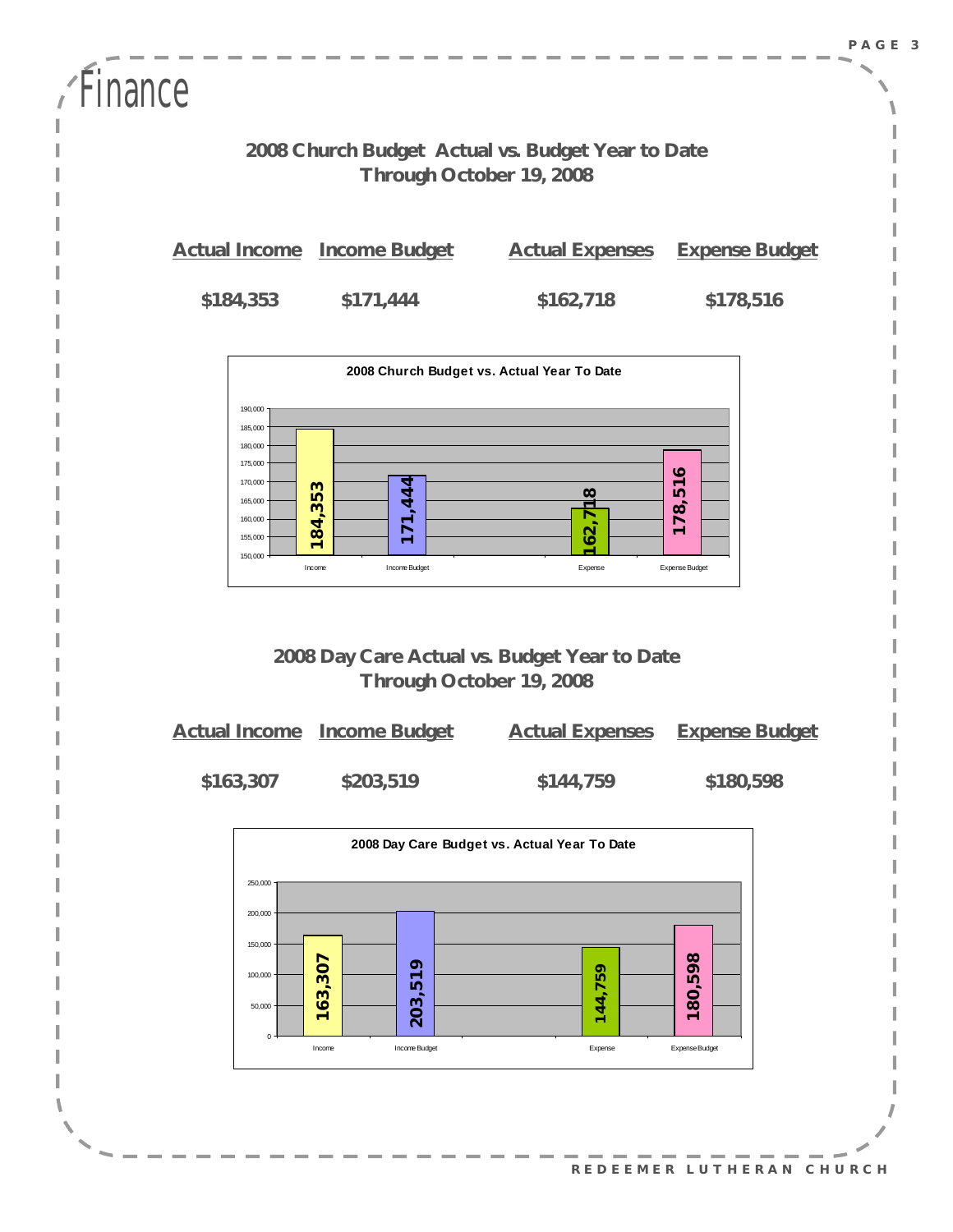| Finance                                                                       |  |                      |                        |                       |
|-------------------------------------------------------------------------------|--|----------------------|------------------------|-----------------------|
| 2008 Church Budget Actual vs. Budget Year to Date<br>Through October 19, 2008 |  |                      |                        |                       |
| <b>Actual Income</b>                                                          |  | <b>Income Budget</b> | <b>Actual Expenses</b> | <b>Expense Budget</b> |
| \$184,353                                                                     |  | \$171,444            | \$162,718              | \$178,516             |
| 2008 Church Budget vs. Actual Year To Date<br>190.000                         |  |                      |                        |                       |



### **2008 Day Care Actual vs. Budget Year to Date Through October 19, 2008**

|           | <b>Actual Income</b> Income Budget | <b>Actual Expenses</b> | <b>Expense Budget</b> |
|-----------|------------------------------------|------------------------|-----------------------|
| \$163,307 | \$203,519                          | \$144,759              | \$180,598             |



**R E D E E M E R L U T H E R A N C H U R CH**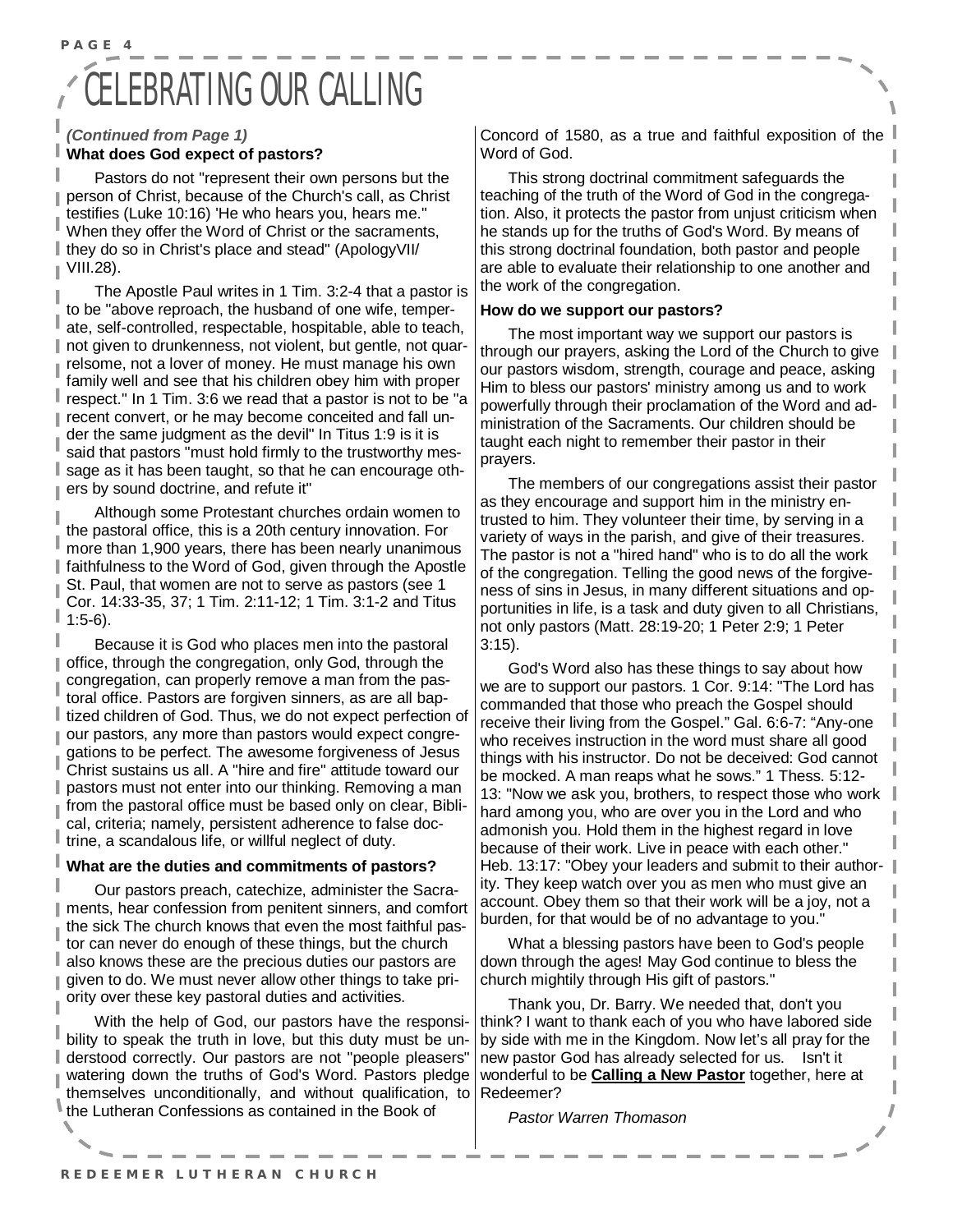### **ELEBRATING OUR CALLING**

#### *(Continued from Page 1)*  **What does God expect of pastors?**

**P A G E 4** 

Pastors do not "represent their own persons but the person of Christ, because of the Church's call, as Christ testifies (Luke 10:16) 'He who hears you, hears me." When they offer the Word of Christ or the sacraments, they do so in Christ's place and stead" (ApologyVII/ VIII.28).

The Apostle Paul writes in 1 Tim. 3:2-4 that a pastor is to be "above reproach, the husband of one wife, temperate, self-controlled, respectable, hospitable, able to teach, not given to drunkenness, not violent, but gentle, not quarrelsome, not a lover of money. He must manage his own family well and see that his children obey him with proper respect." In 1 Tim. 3:6 we read that a pastor is not to be "a recent convert, or he may become conceited and fall under the same judgment as the devil" In Titus 1:9 is it is said that pastors "must hold firmly to the trustworthy message as it has been taught, so that he can encourage others by sound doctrine, and refute it"

Although some Protestant churches ordain women to the pastoral office, this is a 20th century innovation. For more than 1,900 years, there has been nearly unanimous faithfulness to the Word of God, given through the Apostle St. Paul, that women are not to serve as pastors (see 1 Cor. 14:33-35, 37; 1 Tim. 2:11-12; 1 Tim. 3:1-2 and Titus 1:5-6).

Because it is God who places men into the pastoral office, through the congregation, only God, through the congregation, can properly remove a man from the pastoral office. Pastors are forgiven sinners, as are all baptized children of God. Thus, we do not expect perfection of ı our pastors, any more than pastors would expect congregations to be perfect. The awesome forgiveness of Jesus Christ sustains us all. A "hire and fire" attitude toward our pastors must not enter into our thinking. Removing a man from the pastoral office must be based only on clear, Biblical, criteria; namely, persistent adherence to false doctrine, a scandalous life, or willful neglect of duty.

#### **What are the duties and commitments of pastors?**

Our pastors preach, catechize, administer the Sacraments, hear confession from penitent sinners, and comfort the sick The church knows that even the most faithful pastor can never do enough of these things, but the church also knows these are the precious duties our pastors are given to do. We must never allow other things to take priority over these key pastoral duties and activities.

With the help of God, our pastors have the responsibility to speak the truth in love, but this duty must be understood correctly. Our pastors are not "people pleasers" watering down the truths of God's Word. Pastors pledge themselves unconditionally, and without qualification, to the Lutheran Confessions as contained in the Book of

Concord of 1580, as a true and faithful exposition of the Word of God.

This strong doctrinal commitment safeguards the teaching of the truth of the Word of God in the congregation. Also, it protects the pastor from unjust criticism when he stands up for the truths of God's Word. By means of this strong doctrinal foundation, both pastor and people are able to evaluate their relationship to one another and the work of the congregation.

#### **How do we support our pastors?**

The most important way we support our pastors is through our prayers, asking the Lord of the Church to give our pastors wisdom, strength, courage and peace, asking Him to bless our pastors' ministry among us and to work powerfully through their proclamation of the Word and administration of the Sacraments. Our children should be taught each night to remember their pastor in their prayers.

The members of our congregations assist their pastor as they encourage and support him in the ministry entrusted to him. They volunteer their time, by serving in a variety of ways in the parish, and give of their treasures. The pastor is not a "hired hand" who is to do all the work of the congregation. Telling the good news of the forgiveness of sins in Jesus, in many different situations and opportunities in life, is a task and duty given to all Christians, not only pastors (Matt. 28:19-20; 1 Peter 2:9; 1 Peter 3:15).

God's Word also has these things to say about how we are to support our pastors. 1 Cor. 9:14: "The Lord has commanded that those who preach the Gospel should receive their living from the Gospel." Gal. 6:6-7: "Any-one who receives instruction in the word must share all good things with his instructor. Do not be deceived: God cannot be mocked. A man reaps what he sows." 1 Thess. 5:12- 13: "Now we ask you, brothers, to respect those who work hard among you, who are over you in the Lord and who admonish you. Hold them in the highest regard in love because of their work. Live in peace with each other." Heb. 13:17: "Obey your leaders and submit to their authority. They keep watch over you as men who must give an account. Obey them so that their work will be a joy, not a burden, for that would be of no advantage to you."

What a blessing pastors have been to God's people down through the ages! May God continue to bless the church mightily through His gift of pastors."

Thank you, Dr. Barry. We needed that, don't you think? I want to thank each of you who have labored side by side with me in the Kingdom. Now let's all pray for the new pastor God has already selected for us. Isn't it wonderful to be **Calling a New Pastor** together, here at Redeemer?

*Pastor Warren Thomason*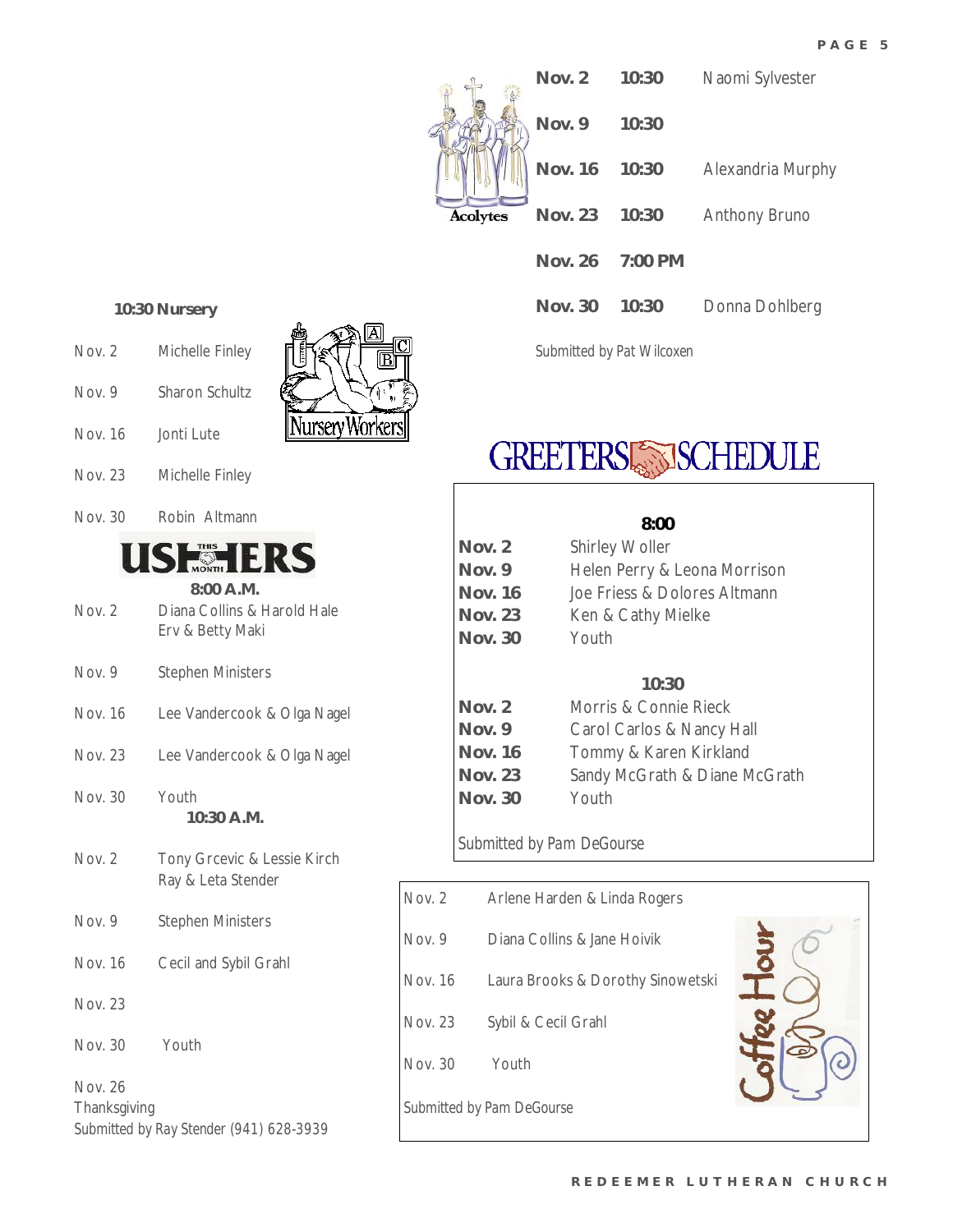

### **GREETERS SISCHEDULE**

|                | 8:00                          |
|----------------|-------------------------------|
| Nov. $2$       | <b>Shirley Woller</b>         |
| Nov. 9         | Helen Perry & Leona Morrison  |
| <b>Nov. 16</b> | Joe Friess & Dolores Altmann  |
| <b>Nov. 23</b> | Ken & Cathy Mielke            |
| <b>Nov. 30</b> | Youth                         |
|                |                               |
|                | 10:30                         |
| Nov. 2         | Morris & Connie Rieck         |
| Nov. 9         | Carol Carlos & Nancy Hall     |
| <b>Nov. 16</b> | Tommy & Karen Kirkland        |
| <b>Nov. 23</b> | Sandy McGrath & Diane McGrath |
| Nov. 30        | Youth                         |
|                |                               |

### *Submitted by Pam DeGourse*

| Nov. 2                    | Arlene Harden & Linda Rogers      |  |  |
|---------------------------|-----------------------------------|--|--|
| Nov. 9                    | Diana Collins & Jane Hoivik       |  |  |
| Nov. 16                   | Laura Brooks & Dorothy Sinowetski |  |  |
| Nov. 23                   | Sybil & Cecil Grahl               |  |  |
| Nov. 30                   | Youth                             |  |  |
| Submitted by Pam DeGourse |                                   |  |  |

#### **10:30 Nursery**

- Nov. 2 Michelle Finley
- Nov. 9 Sharon Schultz
- Nov. 16 Jonti Lute



- Nov. 23 Michelle Finley
- Nov. 30 Robin Altmann

### **SHEHERS**

|        | $8:00$ A.M.                 |
|--------|-----------------------------|
| Nov. 2 | Diana Collins & Harold Hale |
|        | Erv & Betty Maki            |
|        |                             |

- Nov. 9 Stephen Ministers
- Nov. 16 Lee Vandercook & Olga Nagel
- Nov. 23 Lee Vandercook & Olga Nagel
- Nov. 30 Youth **10:30 A.M.**
- Nov. 2 Tony Grcevic & Lessie Kirch Ray & Leta Stender
- Nov. 9 Stephen Ministers Nov. 16 Cecil and Sybil Grahl
- Nov. 23
- Nov. 30 Youth

Nov. 26 **Thanksgiving** *Submitted by Ray Stender (941) 628-3939*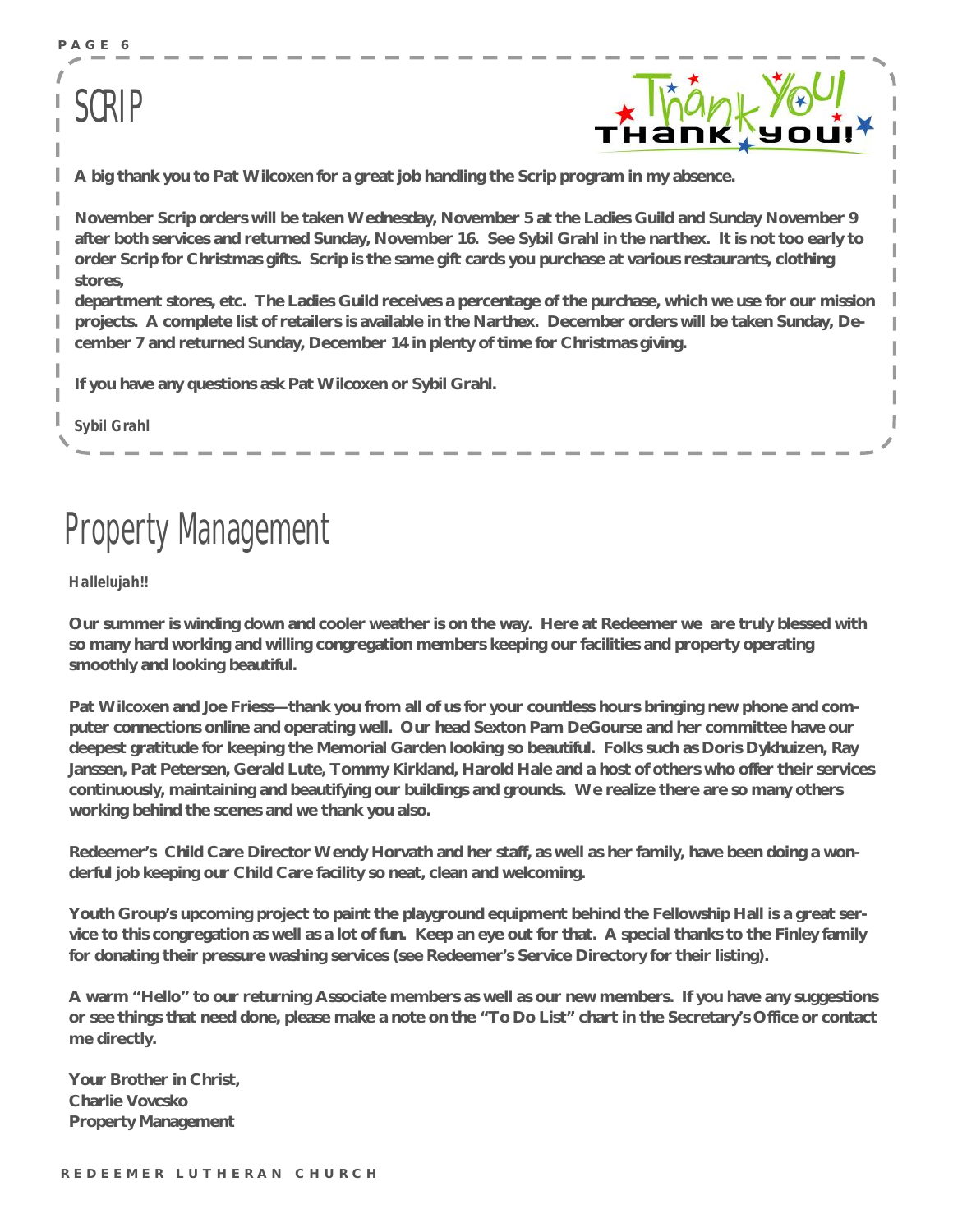**P A G E 6** 

### SCRIP



**A big thank you to Pat Wilcoxen for a great job handling the Scrip program in my absence.** 

**November Scrip orders will be taken Wednesday, November 5 at the Ladies Guild and Sunday November 9**  after both services and returned Sunday, November 16. See Sybil Grahl in the narthex. It is not too early to order Scrip for Christmas gifts. Scrip is the same gift cards you purchase at various restaurants, clothing **stores,** 

**department stores, etc. The Ladies Guild receives a percentage of the purchase, which we use for our mission projects. A complete list of retailers is available in the Narthex. December orders will be taken Sunday, December 7 and returned Sunday, December 14 in plenty of time for Christmas giving.** 

**If you have any questions ask Pat Wilcoxen or Sybil Grahl.** 

*Sybil Grahl*

### Property Management

*Hallelujah!!* 

Our summer is winding down and cooler weather is on the way. Here at Redeemer we are truly blessed with **so many hard working and willing congregation members keeping our facilities and property operating smoothly and looking beautiful.** 

Pat Wilcoxen and Joe Friess-thank you from all of us for your countless hours bringing new phone and com**puter connections online and operating well. Our head Sexton Pam DeGourse and her committee have our deepest gratitude for keeping the Memorial Garden looking so beautiful. Folks such as Doris Dykhuizen, Ray**  Janssen, Pat Petersen, Gerald Lute, Tommy Kirkland, Harold Hale and a host of others who offer their services **continuously, maintaining and beautifying our buildings and grounds. We realize there are so many others working behind the scenes and we thank you also.** 

Redeemer's Child Care Director Wendy Horvath and her staff, as well as her family, have been doing a won**derful job keeping our Child Care facility so neat, clean and welcoming.** 

Youth Group's upcoming project to paint the playground equipment behind the Fellowship Hall is a great service to this congregation as well as a lot of fun. Keep an eye out for that. A special thanks to the Finley family **for donating their pressure washing services (see Redeemer's Service Directory for their listing).** 

A warm "Hello" to our returning Associate members as well as our new members. If you have any suggestions or see things that need done, please make a note on the "To Do List" chart in the Secretary's Office or contact **me directly.** 

**Your Brother in Christ, Charlie Vovcsko Property Management**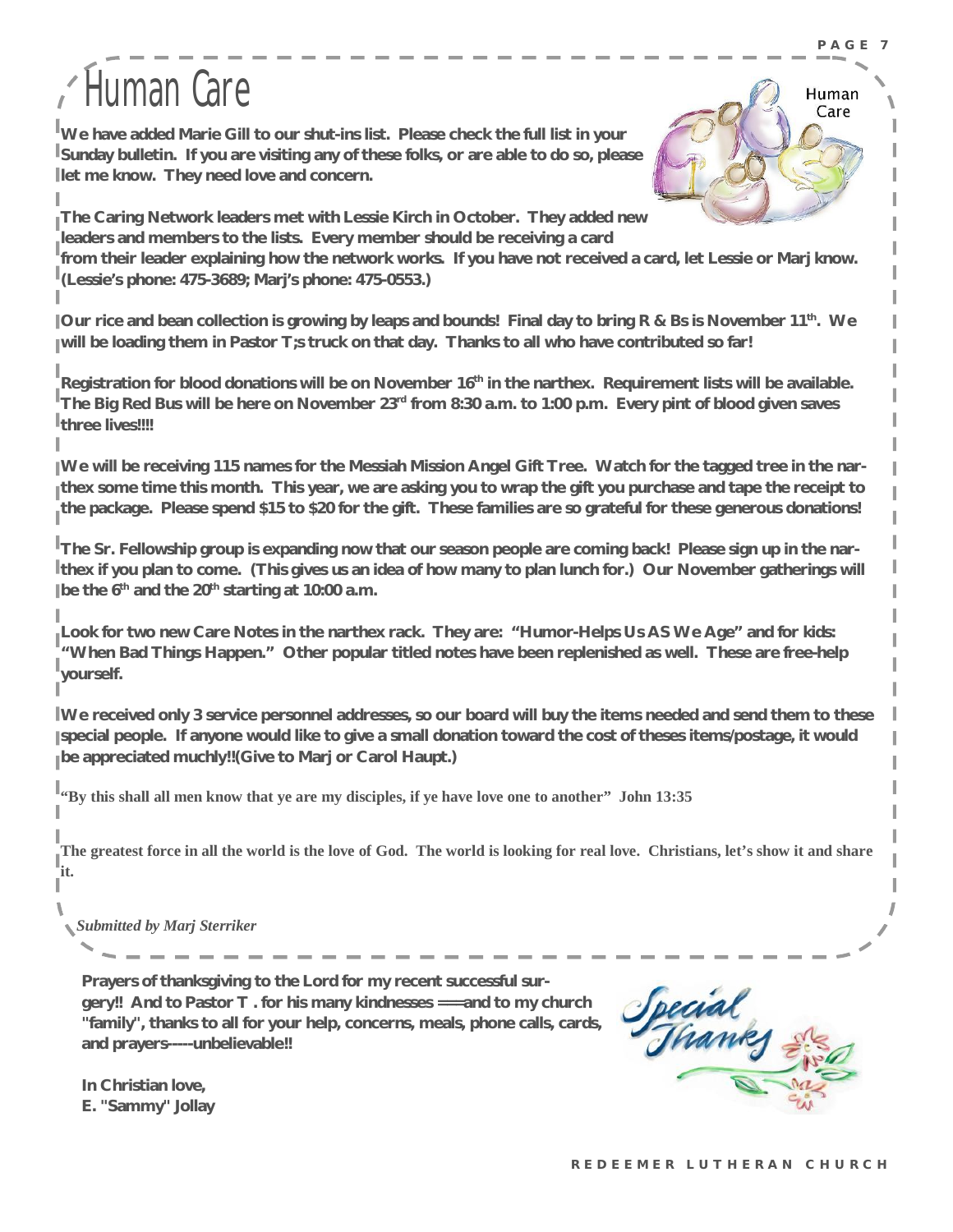## Human Care

**We have added Marie Gill to our shut-ins list. Please check the full list in your Sunday bulletin. If you are visiting any of these folks, or are able to do so, please let me know. They need love and concern.** 



**The Caring Network leaders met with Lessie Kirch in October. They added new leaders and members to the lists. Every member should be receiving a card**  from their leader explaining how the network works. If you have not received a card, let Lessie or Marj know. **(Lessie's phone: 475-3689; Marj's phone: 475-0553.)** 

Our rice and bean collection is growing by leaps and bounds! Final day to bring R & Bs is November 11<sup>th</sup>. We **will be loading them in Pastor T;s truck on that day. Thanks to all who have contributed so far!** 

**Registration for blood donations will be on November 16th in the narthex. Requirement lists will be available.**  The Big Red Bus will be here on November  $23^{\text{rd}}$  from 8:30 a.m. to 1:00 p.m. Every pint of blood given saves **three lives!!!!** 

IWe will be receiving 115 names for the Messiah Mission Angel Gift Tree. Watch for the tagged tree in the narthex some time this month. This year, we are asking you to wrap the gift you purchase and tape the receipt to the package. Please spend \$15 to \$20 for the gift. These families are so grateful for these generous donations!

The Sr. Fellowship group is expanding now that our season people are coming back! Please sign up in the narthex if you plan to come. (This gives us an idea of how many to plan lunch for.) Our November gatherings will **be the 6th and the 20th starting at 10:00 a.m.** 

Look for two new Care Notes in the narthex rack. They are: "Humor-Helps Us AS We Age" and for kids: **"When Bad Things Happen." Other popular titled notes have been replenished as well. These are free-help yourself.** 

IWe received only 3 service personnel addresses, so our board will buy the items needed and send them to these special people. If anyone would like to give a small donation toward the cost of theses items/postage, it would **be appreciated muchly!!(Give to Marj or Carol Haupt.)** 

""By this shall all men know that ye are my disciples, if ye have love one to another" John 13:35

The greatest force in all the world is the love of God. The world is looking for real love. Christians, let's show it and share **it.** 

*Submitted by Marj Sterriker* 

**Prayers of thanksgiving to the Lord for my recent successful surgery!! And to Pastor T . for his many kindnesses ===and to my church "family", thanks to all for your help, concerns, meals, phone calls, cards, and prayers-----unbelievable!!** 



**In Christian love, E. "Sammy" Jollay**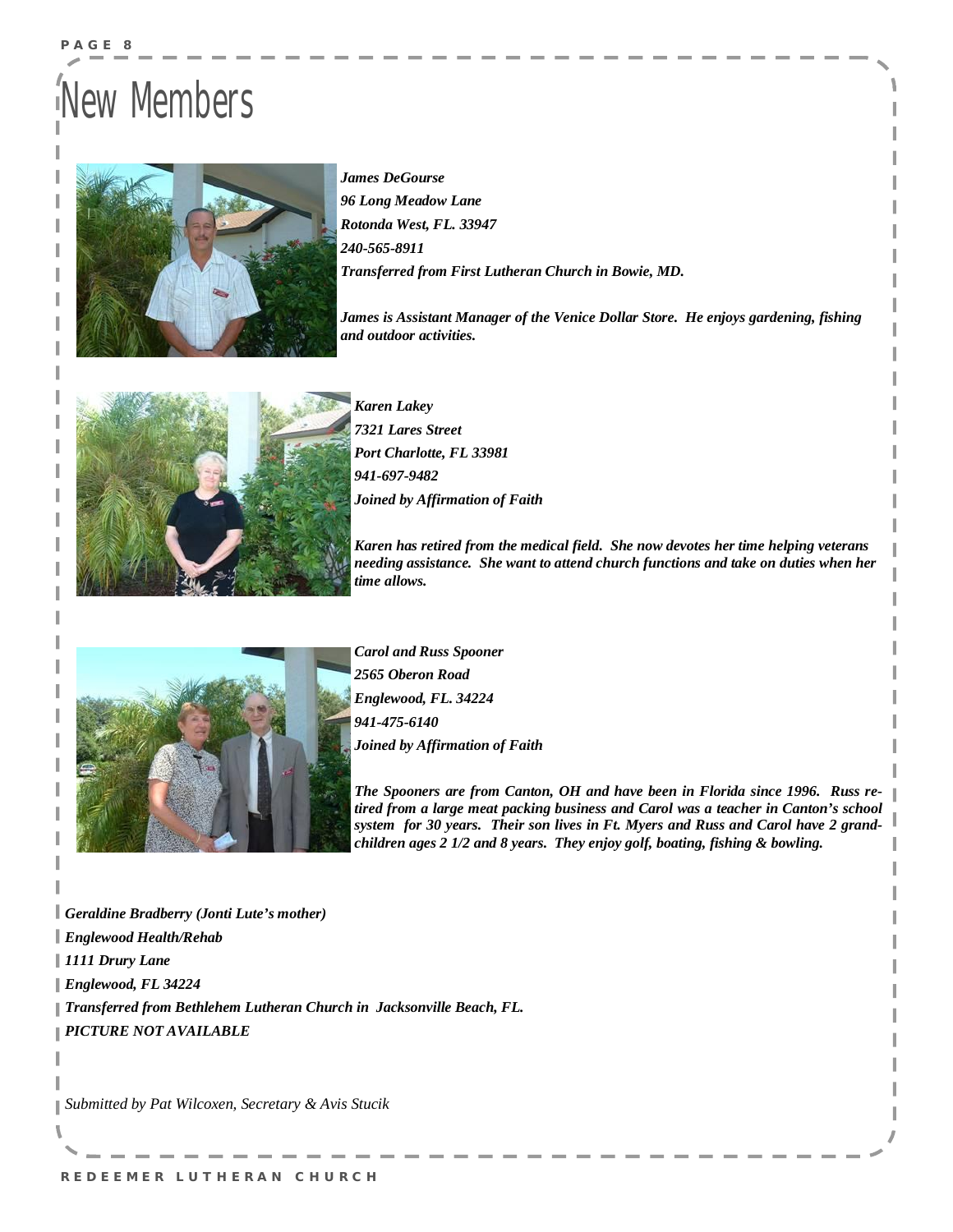## New Members

**P A G E 8** 



*James DeGourse 96 Long Meadow Lane Rotonda West, FL. 33947 240-565-8911 Transferred from First Lutheran Church in Bowie, MD.* 

*James is Assistant Manager of the Venice Dollar Store. He enjoys gardening, fishing and outdoor activities.* 



*Karen Lakey 7321 Lares Street Port Charlotte, FL 33981 941-697-9482 Joined by Affirmation of Faith* 

*Karen has retired from the medical field. She now devotes her time helping veterans needing assistance. She want to attend church functions and take on duties when her time allows.* 



*Carol and Russ Spooner 2565 Oberon Road Englewood, FL. 34224 941-475-6140 Joined by Affirmation of Faith* 

*The Spooners are from Canton, OH and have been in Florida since 1996. Russ retired from a large meat packing business and Carol was a teacher in Canton's school system for 30 years. Their son lives in Ft. Myers and Russ and Carol have 2 grandchildren ages 2 1/2 and 8 years. They enjoy golf, boating, fishing & bowling.* 

*Geraldine Bradberry (Jonti Lute's mother) Englewood Health/Rehab 1111 Drury Lane Englewood, FL 34224 Transferred from Bethlehem Lutheran Church in Jacksonville Beach, FL. PICTURE NOT AVAILABLE*

*Submitted by Pat Wilcoxen, Secretary & Avis Stucik*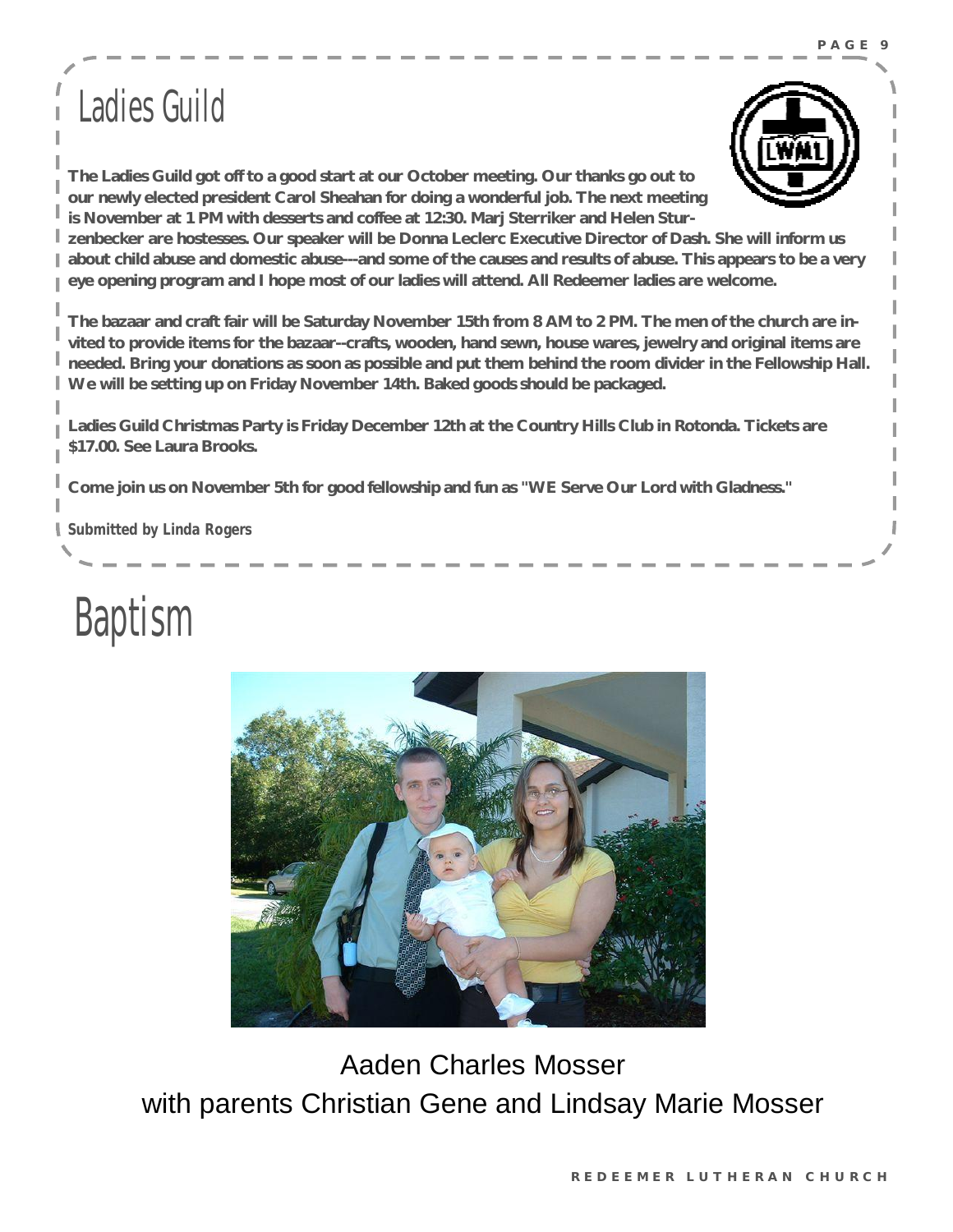### Ladies Guild



**The Ladies Guild got off to a good start at our October meeting. Our thanks go out to our newly elected president Carol Sheahan for doing a wonderful job. The next meeting is November at 1 PM with desserts and coffee at 12:30. Marj Sterriker and Helen Stur-**

**zenbecker are hostesses. Our speaker will be Donna Leclerc Executive Director of Dash. She will inform us**  about child abuse and domestic abuse---and some of the causes and results of abuse. This appears to be a very **eye opening program and I hope most of our ladies will attend. All Redeemer ladies are welcome.** 

The bazaar and craft fair will be Saturday November 15th from 8 AM to 2 PM. The men of the church are invited to provide items for the bazaar--crafts, wooden, hand sewn, house wares, jewelry and original items are needed. Bring your donations as soon as possible and put them behind the room divider in the Fellowship Hall. **We will be setting up on Friday November 14th. Baked goods should be packaged.** 

**Ladies Guild Christmas Party is Friday December 12th at the Country Hills Club in Rotonda. Tickets are \$17.00. See Laura Brooks.** 

**Come join us on November 5th for good fellowship and fun as "WE Serve Our Lord with Gladness."** 

*Submitted by Linda Rogers*





Aaden Charles Mosser with parents Christian Gene and Lindsay Marie Mosser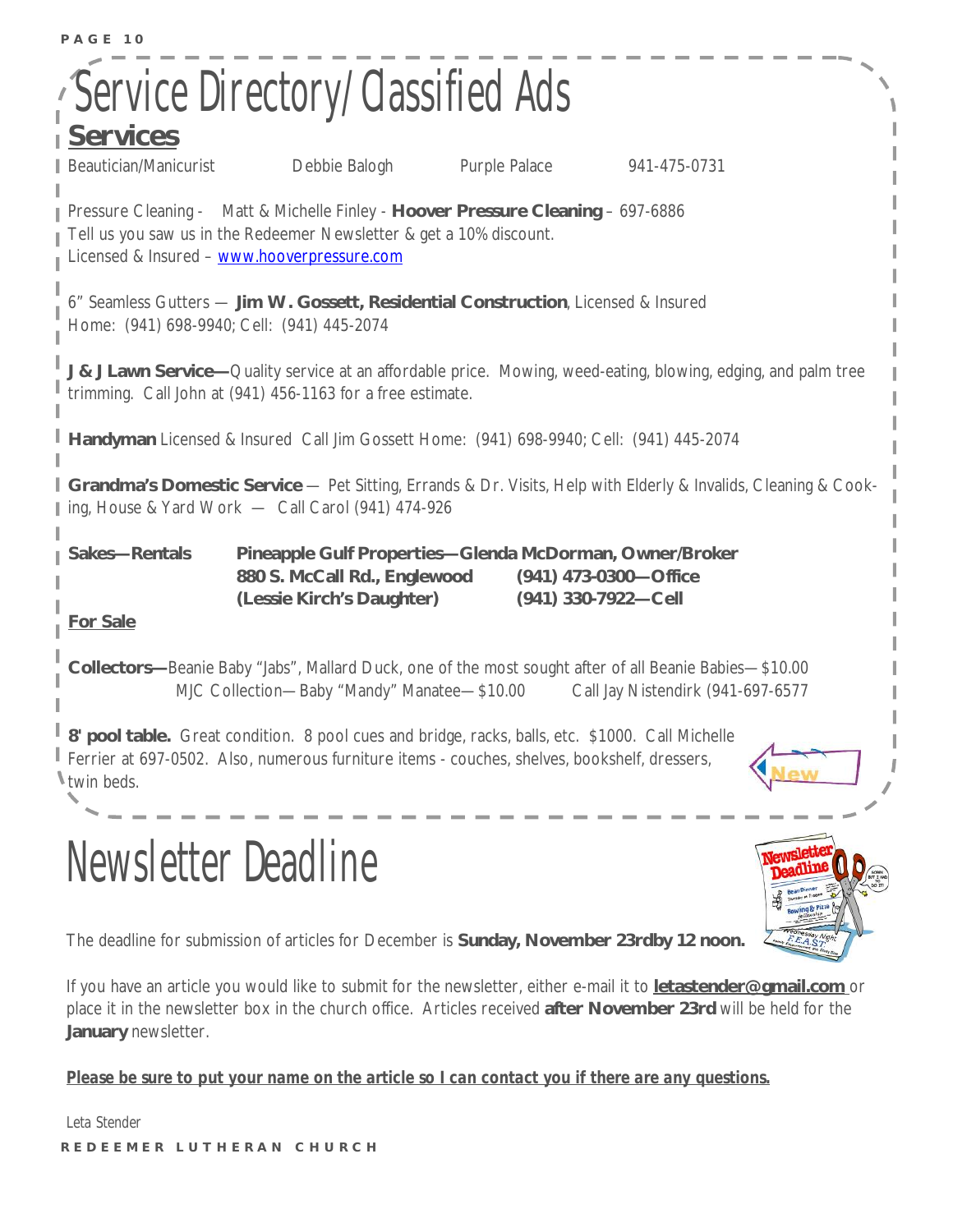| PAGE 10                          |                                                                                                                                                                                                        |               |                                              |  |
|----------------------------------|--------------------------------------------------------------------------------------------------------------------------------------------------------------------------------------------------------|---------------|----------------------------------------------|--|
|                                  | Service Directory/Classified Ads                                                                                                                                                                       |               |                                              |  |
| <b>Services</b>                  |                                                                                                                                                                                                        |               |                                              |  |
| Beautician/Manicurist            | Debbie Balogh                                                                                                                                                                                          | Purple Palace | 941-475-0731                                 |  |
|                                  | Pressure Cleaning - Matt & Michelle Finley - Hoover Pressure Cleaning - 697-6886<br>Tell us you saw us in the Redeemer Newsletter & get a 10% discount.<br>Licensed & Insured - www.hooverpressure.com |               |                                              |  |
|                                  | 6" Seamless Gutters - Jim W. Gossett, Residential Construction, Licensed & Insured<br>Home: (941) 698-9940; Cell: (941) 445-2074                                                                       |               |                                              |  |
|                                  | J & J Lawn Service-Quality service at an affordable price. Mowing, weed-eating, blowing, edging, and palm tree<br>trimming. Call John at (941) 456-1163 for a free estimate.                           |               |                                              |  |
|                                  | Handyman Licensed & Insured Call Jim Gossett Home: (941) 698-9940; Cell: (941) 445-2074                                                                                                                |               |                                              |  |
|                                  | <b>Sandma's Domestic Service</b> — Pet Sitting, Errands & Dr. Visits, Help with Elderly & Invalids, Cleaning & Cook-<br>I ing, House & Yard Work - Call Carol (941) 474-926                            |               |                                              |  |
| Sakes-Rentals<br><b>For Sale</b> | Pineapple Gulf Properties-Glenda McDorman, Owner/Broker<br>880 S. McCall Rd., Englewood<br>(Lessie Kirch's Daughter)                                                                                   |               | (941) 473-0300-Office<br>(941) 330-7922-Cell |  |
|                                  | Collectors-Beanie Baby "Jabs", Mallard Duck, one of the most sought after of all Beanie Babies-\$10.00<br>MJC Collection-Baby "Mandy" Manatee-\$10.00                                                  |               | Call Jay Nistendirk (941-697-6577            |  |
| I twin beds.                     | 8' pool table. Great condition. 8 pool cues and bridge, racks, balls, etc. \$1000. Call Michelle<br>Ferrier at 697-0502. Also, numerous furniture items - couches, shelves, bookshelf, dressers,       |               |                                              |  |
|                                  | <b>Newsletter Deadline</b>                                                                                                                                                                             |               |                                              |  |

The deadline for submission of articles for December is **Sunday, November 23rdby 12 noon.** 

If you have an article you would like to submit for the newsletter, either e-mail it to **[letastender@gmail.com](mailto:letastender@gmail.com)** or place it in the newsletter box in the church office. Articles received **after November 23rd** will be held for the **January** newsletter.

*Please be sure to put your name on the article so I can contact you if there are any questions.* 

**R E D E E M E R L U T H E R A N C H U R CH**  *Leta Stender*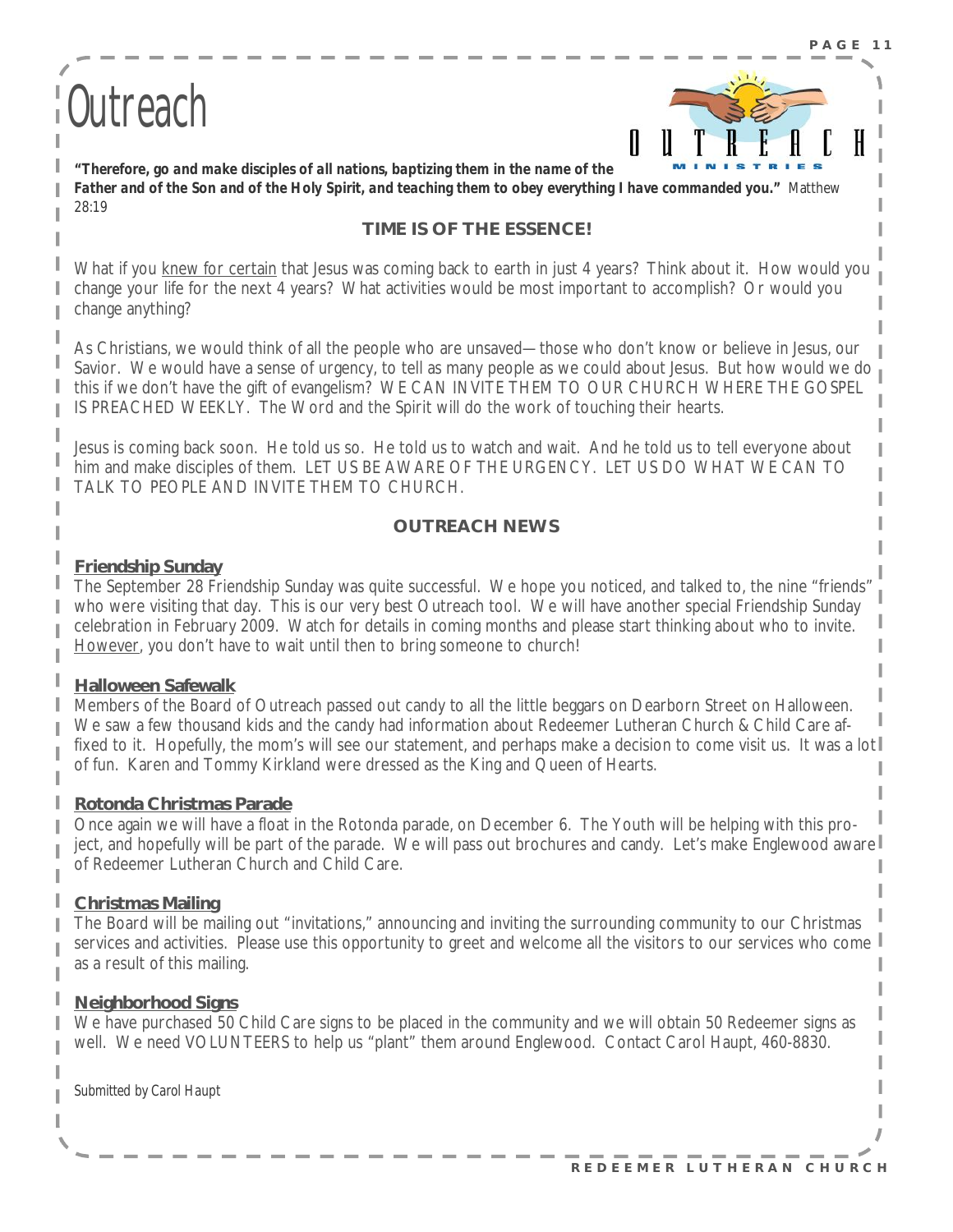# Outreach



*"Therefore, go and make disciples of all nations, baptizing them in the name of the*  Father and of the Son and of the Holy Spirit, and teaching them to obey everything I have commanded you." Matthew 28:19

### **TIME IS OF THE ESSENCE!**

What if you knew for certain that Jesus was coming back to earth in just 4 years? Think about it. How would you change your life for the next 4 years? What activities would be most important to accomplish? Or would you change anything?

As Christians, we would think of all the people who are unsaved—those who don't know or believe in Jesus, our Savior. We would have a sense of urgency, to tell as many people as we could about Jesus. But how would we do this if we don't have the gift of evangelism? WE CAN INVITE THEM TO OUR CHURCH WHERE THE GOSPEL IS PREACHED WEEKLY. The Word and the Spirit will do the work of touching their hearts.

Jesus is coming back soon. He told us so. He told us to watch and wait. And he told us to tell everyone about him and make disciples of them. LET US BE AWARE OF THE URGENCY. LET US DO WHAT WE CAN TO TALK TO PEOPLE AND INVITE THEM TO CHURCH.

### **OUTREACH NEWS**

#### **Friendship Sunday**

The September 28 Friendship Sunday was quite successful. We hope you noticed, and talked to, the nine "friends" who were visiting that day. This is our very best Outreach tool. We will have another special Friendship Sunday celebration in February 2009. Watch for details in coming months and please start thinking about who to invite. However, you don't have to wait until then to bring someone to church!

#### **Halloween Safewalk**

Members of the Board of Outreach passed out candy to all the little beggars on Dearborn Street on Halloween. We saw a few thousand kids and the candy had information about Redeemer Lutheran Church & Child Care affixed to it. Hopefully, the mom's will see our statement, and perhaps make a decision to come visit us. It was a lot of fun. Karen and Tommy Kirkland were dressed as the King and Queen of Hearts.

#### **Rotonda Christmas Parade**

Once again we will have a float in the Rotonda parade, on December 6. The Youth will be helping with this project, and hopefully will be part of the parade. We will pass out brochures and candy. Let's make Englewood aware of Redeemer Lutheran Church and Child Care.

### **Christmas Mailing**

The Board will be mailing out "invitations," announcing and inviting the surrounding community to our Christmas services and activities. Please use this opportunity to greet and welcome all the visitors to our services who come as a result of this mailing.

### **Neighborhood Signs**

We have purchased 50 Child Care signs to be placed in the community and we will obtain 50 Redeemer signs as well. We need VOLUNTEERS to help us "plant" them around Englewood. Contact Carol Haupt, 460-8830.

*Submitted by Carol Haupt*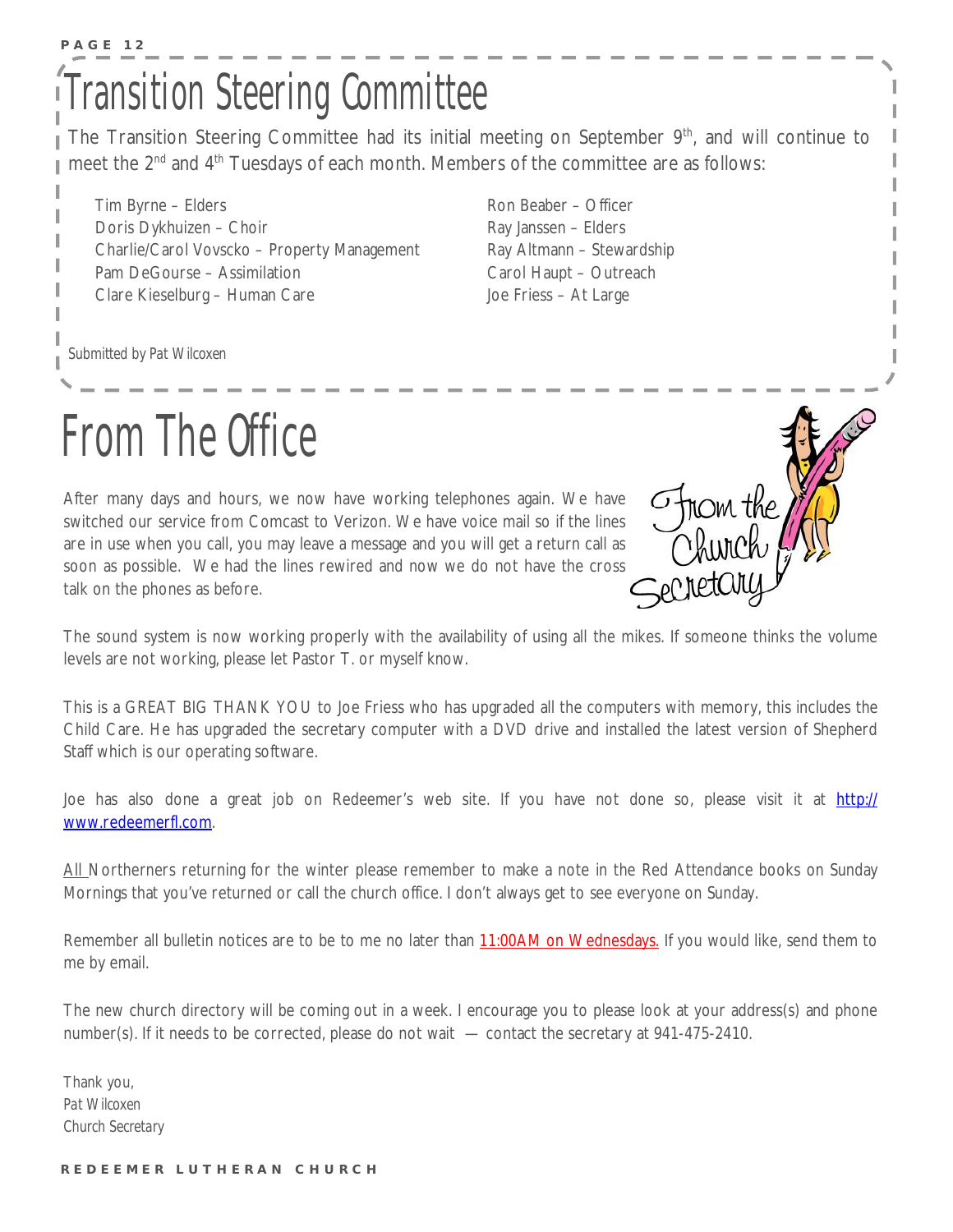### **P A G E 12**  Transition Steering Committee

The Transition Steering Committee had its initial meeting on September 9<sup>th</sup>, and will continue to meet the 2<sup>nd</sup> and 4<sup>th</sup> Tuesdays of each month. Members of the committee are as follows:

Tim Byrne – Elders Doris Dykhuizen – Choir Charlie/Carol Vovscko – Property Management Pam DeGourse – Assimilation Clare Kieselburg – Human Care

Ron Beaber – Officer Ray Janssen – Elders Ray Altmann – Stewardship Carol Haupt – Outreach Joe Friess – At Large

*Submitted by Pat Wilcoxen* 



After many days and hours, we now have working telephones again. We have switched our service from Comcast to Verizon. We have voice mail so if the lines are in use when you call, you may leave a message and you will get a return call as soon as possible. We had the lines rewired and now we do not have the cross talk on the phones as before.



The sound system is now working properly with the availability of using all the mikes. If someone thinks the volume levels are not working, please let Pastor T. or myself know.

This is a GREAT BIG THANK YOU to Joe Friess who has upgraded all the computers with memory, this includes the Child Care. He has upgraded the secretary computer with a DVD drive and installed the latest version of Shepherd Staff which is our operating software.

Joe has also done a great job on Redeemer's web site. If you have not done so, please visit it at http:// [www.redeemerfl.com](http://www.redeemerfl.com).

All Northerners returning for the winter please remember to make a note in the Red Attendance books on Sunday Mornings that you've returned or call the church office. I don't always get to see everyone on Sunday.

Remember all bulletin notices are to be to me no later than 11:00AM on Wednesdays. If you would like, send them to me by email.

The new church directory will be coming out in a week. I encourage you to please look at your address(s) and phone number(s). If it needs to be corrected, please do not wait — contact the secretary at 941-475-2410.

Thank you, *Pat Wilcoxen Church Secretary*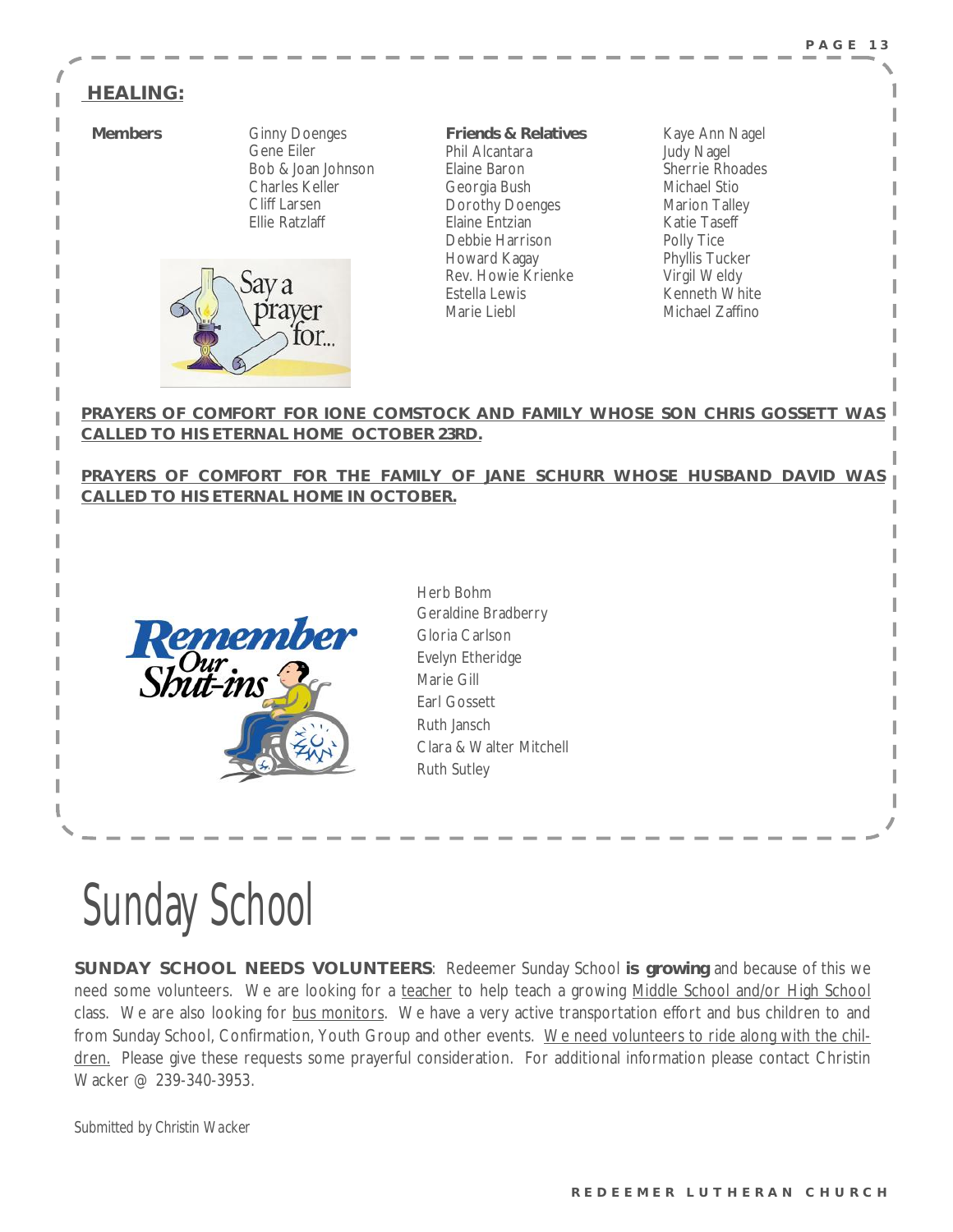### **HEALING:**

**Members Ginny Doenges**  Gene Eiler Bob & Joan Johnson Charles Keller Cliff Larsen Ellie Ratzlaff



**Friends & Relatives**  Phil Alcantara Elaine Baron Georgia Bush Dorothy Doenges Elaine Entzian Debbie Harrison Howard Kagay Rev. Howie Krienke Estella Lewis Marie Liebl

Kaye Ann Nagel Judy Nagel Sherrie Rhoades Michael Stio Marion Talley Katie Taseff Polly Tice Phyllis Tucker Virgil Weldy Kenneth White Michael Zaffino

**PRAYERS OF COMFORT FOR IONE COMSTOCK AND FAMILY WHOSE SON CHRIS GOSSETT WAS CALLED TO HIS ETERNAL HOME OCTOBER 23RD.**

**PRAYERS OF COMFORT FOR THE FAMILY OF JANE SCHURR WHOSE HUSBAND DAVID WAS CALLED TO HIS ETERNAL HOME IN OCTOBER.**

Herb Bohm



| hero Bonin              |  |  |
|-------------------------|--|--|
| Geraldine Bradberry     |  |  |
| Gloria Carlson          |  |  |
| Evelyn Etheridge        |  |  |
| Marie Gill              |  |  |
| <b>Farl Gossett</b>     |  |  |
| Ruth Jansch             |  |  |
| Clara & Walter Mitchell |  |  |
| <b>Ruth Sutley</b>      |  |  |

# Sunday School

**SUNDAY SCHOOL NEEDS VOLUNTEERS**: Redeemer Sunday School **is growing** and because of this we need some volunteers. We are looking for a teacher to help teach a growing Middle School and/or High School class. We are also looking for bus monitors. We have a very active transportation effort and bus children to and from Sunday School, Confirmation, Youth Group and other events. We need volunteers to ride along with the children. Please give these requests some prayerful consideration. For additional information please contact Christin Wacker @ 239-340-3953.

*Submitted by Christin Wacker*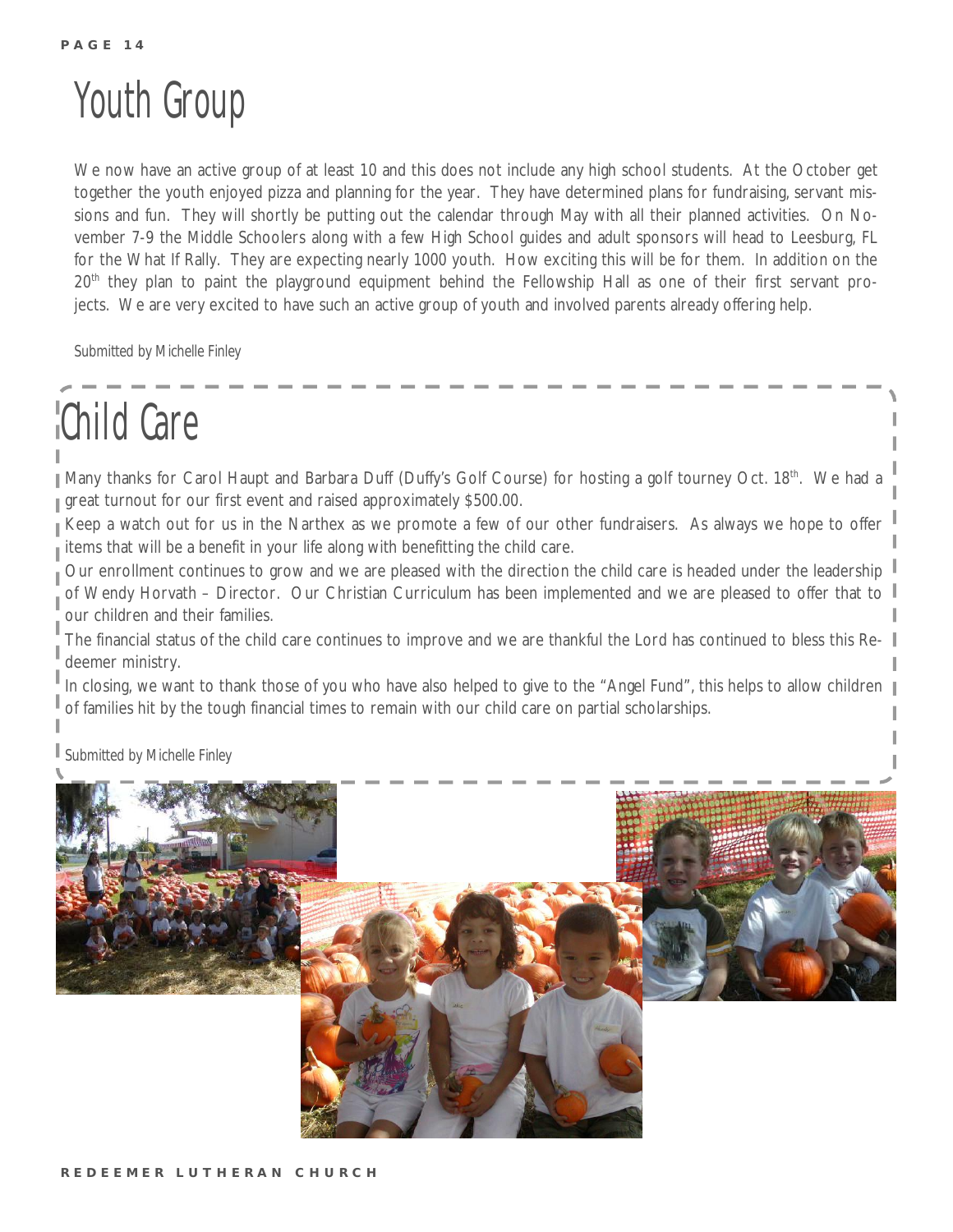### Youth Group

We now have an active group of at least 10 and this does not include any high school students. At the October get together the youth enjoyed pizza and planning for the year. They have determined plans for fundraising, servant missions and fun. They will shortly be putting out the calendar through May with all their planned activities. On November 7-9 the Middle Schoolers along with a few High School guides and adult sponsors will head to Leesburg, FL for the What If Rally. They are expecting nearly 1000 youth. How exciting this will be for them. In addition on the 20<sup>th</sup> they plan to paint the playground equipment behind the Fellowship Hall as one of their first servant projects. We are very excited to have such an active group of youth and involved parents already offering help.

*Submitted by Michelle Finley* 

## Child Care

Many thanks for Carol Haupt and Barbara Duff (Duffy's Golf Course) for hosting a golf tourney Oct. 18<sup>th</sup>. We had a great turnout for our first event and raised approximately \$500.00.

Keep a watch out for us in the Narthex as we promote a few of our other fundraisers. As always we hope to offer items that will be a benefit in your life along with benefitting the child care.

Our enrollment continues to grow and we are pleased with the direction the child care is headed under the leadership of Wendy Horvath – Director. Our Christian Curriculum has been implemented and we are pleased to offer that to our children and their families.

The financial status of the child care continues to improve and we are thankful the Lord has continued to bless this Redeemer ministry.

In closing, we want to thank those of you who have also helped to give to the "Angel Fund", this helps to allow children of families hit by the tough financial times to remain with our child care on partial scholarships.

*Submitted by Michelle Finley* 

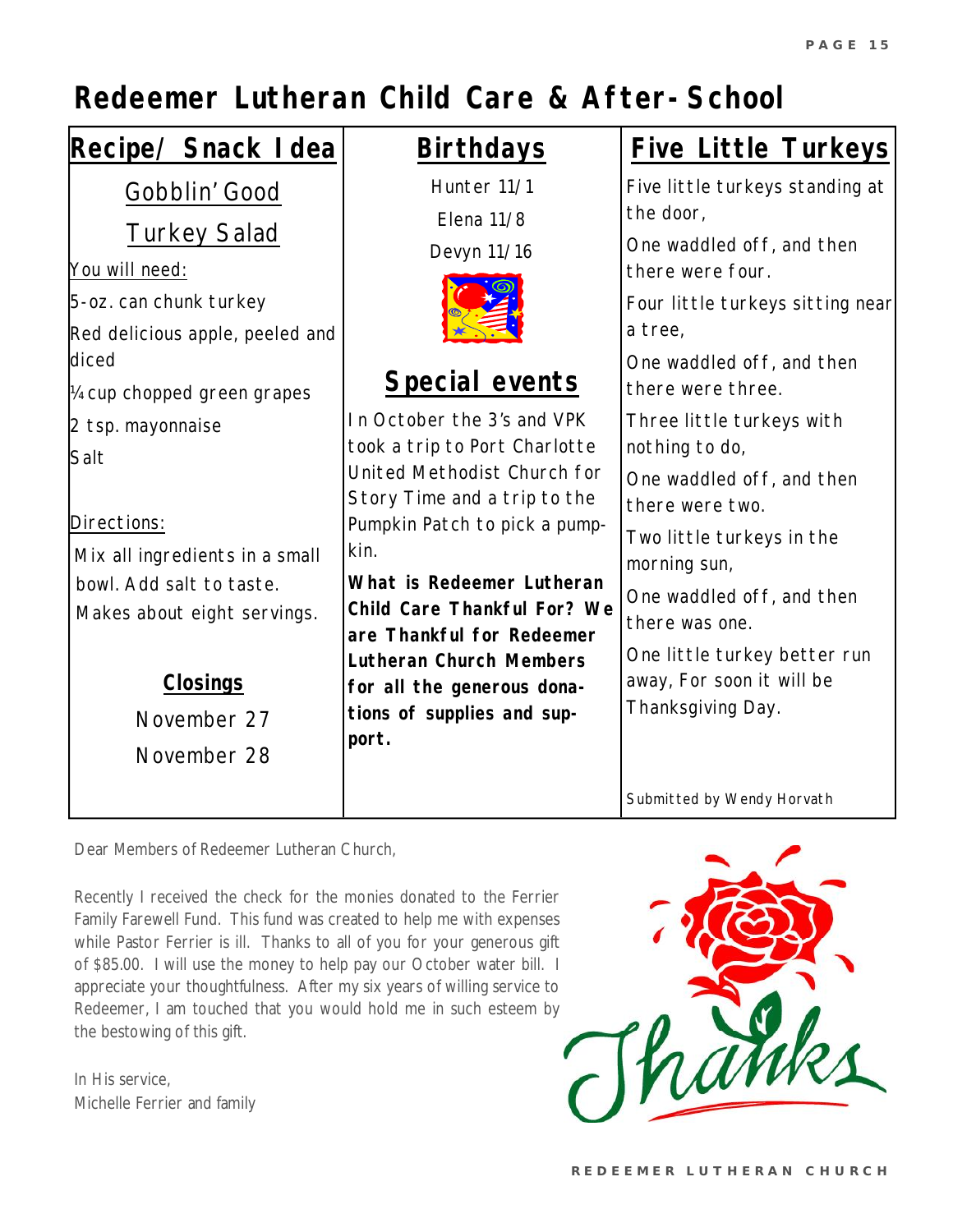### *Redeemer Lutheran Child Care & After-School*

| Recipe/ Snack I dea                                                                                                                                                                                                   | <b>Birthdays</b>                                                                                                                                                                                                                                                                                                                                                               | <b>Five Little Turkeys</b>                                                                                                                                                                                                                                                                     |
|-----------------------------------------------------------------------------------------------------------------------------------------------------------------------------------------------------------------------|--------------------------------------------------------------------------------------------------------------------------------------------------------------------------------------------------------------------------------------------------------------------------------------------------------------------------------------------------------------------------------|------------------------------------------------------------------------------------------------------------------------------------------------------------------------------------------------------------------------------------------------------------------------------------------------|
| Gobblin' Good<br><b>Turkey Salad</b><br>You will need:<br>5-oz. can chunk turkey<br>Red delicious apple, peeled and<br>diced                                                                                          | Hunter 11/1<br>Elena 11/8<br>Devyn 11/16                                                                                                                                                                                                                                                                                                                                       | Five little turkeys standing at<br>the door,<br>One waddled off, and then<br>there were four.<br>Four little turkeys sitting near<br>a tree,<br>One waddled off, and then                                                                                                                      |
| 14 cup chopped green grapes<br>2 tsp. mayonnaise<br>Salt<br>Directions:<br>Mix all ingredients in a small<br>bowl. Add salt to taste.<br>Makes about eight servings.<br><b>Closings</b><br>November 27<br>November 28 | Special events<br>In October the 3's and VPK<br>took a trip to Port Charlotte<br>United Methodist Church for<br>Story Time and a trip to the<br>Pumpkin Patch to pick a pump-<br>kin.<br>What is Redeemer Lutheran<br>Child Care Thankful For? We<br>are Thankful for Redeemer<br>Lutheran Church Members<br>for all the generous dona-<br>tions of supplies and sup-<br>port. | there were three.<br>Three little turkeys with<br>nothing to do,<br>One waddled off, and then<br>there were two.<br>Two little turkeys in the<br>morning sun,<br>One waddled off, and then<br>there was one.<br>One little turkey better run<br>away, For soon it will be<br>Thanksgiving Day. |
|                                                                                                                                                                                                                       |                                                                                                                                                                                                                                                                                                                                                                                | Submitted by Wendy Horvath                                                                                                                                                                                                                                                                     |

Dear Members of Redeemer Lutheran Church,

Recently I received the check for the monies donated to the Ferrier Family Farewell Fund. This fund was created to help me with expenses while Pastor Ferrier is ill. Thanks to all of you for your generous gift of \$85.00. I will use the money to help pay our October water bill. I appreciate your thoughtfulness. After my six years of willing service to Redeemer, I am touched that you would hold me in such esteem by the bestowing of this gift.

In His service, Michelle Ferrier and family